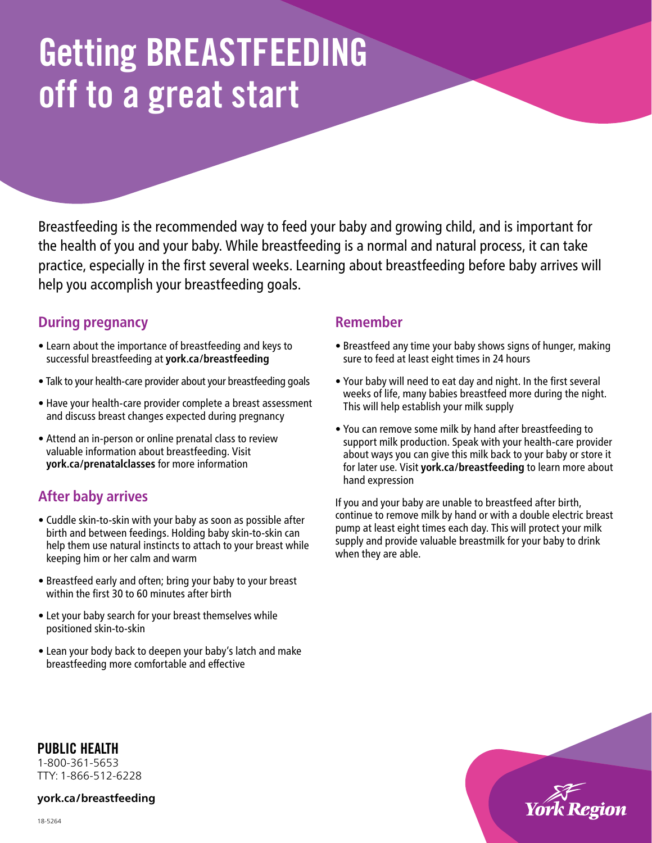# Getting BREASTFEEDING off to a great start

Breastfeeding is the recommended way to feed your baby and growing child, and is important for the health of you and your baby. While breastfeeding is a normal and natural process, it can take practice, especially in the first several weeks. Learning about breastfeeding before baby arrives will help you accomplish your breastfeeding goals.

## **During pregnancy**

- Learn about the importance of breastfeeding and keys to successful breastfeeding at **<york.ca/breastfeeding>**
- Talk to your health-care provider about your breastfeeding goals
- Have your health-care provider complete a breast assessment and discuss breast changes expected during pregnancy
- Attend an in-person or online prenatal class to review valuable information about breastfeeding. Visit **<york.ca/prenatalclasses>** for more information

# **After baby arrives**

- Cuddle skin-to-skin with your baby as soon as possible after birth and between feedings. Holding baby skin-to-skin can help them use natural instincts to attach to your breast while keeping him or her calm and warm
- Breastfeed early and often; bring your baby to your breast within the first 30 to 60 minutes after birth
- Let your baby search for your breast themselves while positioned skin-to-skin
- Lean your body back to deepen your baby's latch and make breastfeeding more comfortable and effective

### **Remember**

- Breastfeed any time your baby shows signs of hunger, making sure to feed at least eight times in 24 hours
- Your baby will need to eat day and night. In the first several weeks of life, many babies breastfeed more during the night. This will help establish your milk supply
- You can remove some milk by hand after breastfeeding to support milk production. Speak with your health-care provider about ways you can give this milk back to your baby or store it for later use. Visit **<york.ca/breastfeeding>** to learn more about hand expression

If you and your baby are unable to breastfeed after birth, continue to remove milk by hand or with a double electric breast pump at least eight times each day. This will protect your milk supply and provide valuable breastmilk for your baby to drink when they are able.



PUBLIC HEALTH

1-800-361-5653 TTY: 1-866-512-6228

**<york.ca/breastfeeding>**